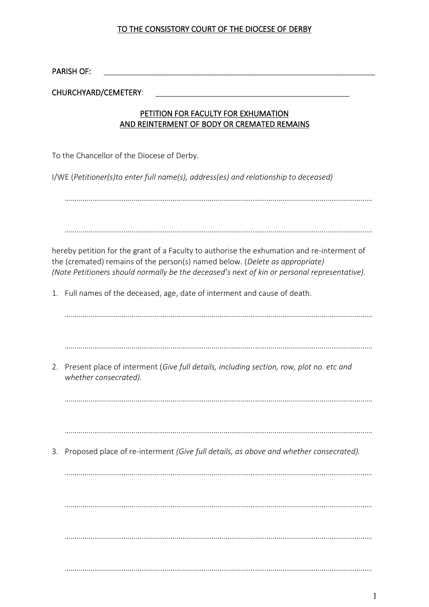### TO THE CONSISTORY COURT OF THE DIOCESE OF DERBY

PARISH OF: \_\_\_\_\_\_\_\_\_\_\_\_\_\_\_\_\_\_\_\_\_\_\_\_\_\_\_\_\_\_\_\_\_\_\_\_\_\_\_\_\_\_\_\_\_\_\_\_\_\_\_\_\_\_\_\_\_\_\_\_\_\_\_

CHURCHYARD/CEMETERY:

# PETITION FOR FACULTY FOR EXHUMATION AND REINTERMENT OF BODY OR CREMATED REMAINS

To the Chancellor of the Diocese of Derby.

I/WE (*Petitioner(s)to enter full name(s), address(es) and relationship to deceased)*

…………………………………………………………………………………….……………………………………………………

…………………………………………………………………………………….……………………………………………………

hereby petition for the grant of a Faculty to authorise the exhumation and re-interment of the (cremated) remains of the person(s) named below. (*Delete as appropriate) (Note Petitioners should normally be the deceased's next of kin or personal representative).*

1. Full names of the deceased, age, date of interment and cause of death.

…………………………………………………………………………………….…………………………………………………… …………………………………………………………………………………….…………………………………………………… 2. Present place of interment (*Give full details, including section, row, plot no. etc and whether consecrated).* …………………………………………………………………………………….…………………………………………………… …………………………………………………………………………………….…………………………………………………… 3. Proposed place of re-interment *(Give full details, as above and whether consecrated).* …………………………………………………………………………………….…………………………………………………… …………………………………………………………………………………….…………………………………………………… …………………………………………………………………………………….…………………………………………………… …………………………………………………………………………………….……………………………………………………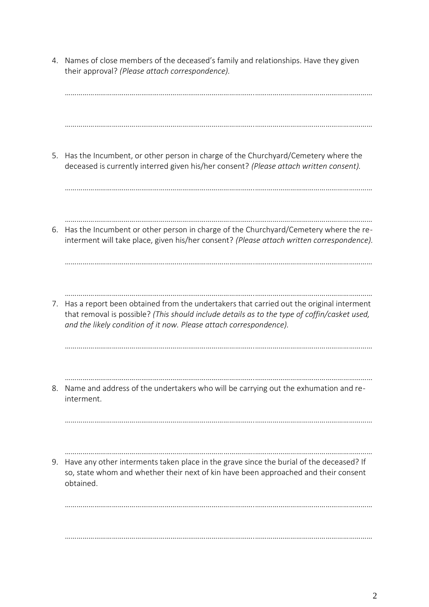4. Names of close members of the deceased's family and relationships. Have they given their approval? *(Please attach correspondence).* …………………………………………………………………………………….…………………………………………………… …………………………………………………………………………………….…………………………………………………… 5. Has the Incumbent, or other person in charge of the Churchyard/Cemetery where the deceased is currently interred given his/her consent? *(Please attach written consent).* …………………………………………………………………………………….…………………………………………………… …………………………………………………………………………………….…………………………………………………… 6. Has the Incumbent or other person in charge of the Churchyard/Cemetery where the reinterment will take place, given his/her consent? *(Please attach written correspondence).* …………………………………………………………………………………….…………………………………………………… …………………………………………………………………………………….…………………………………………………… 7. Has a report been obtained from the undertakers that carried out the original interment that removal is possible? *(This should include details as to the type of coffin/casket used, and the likely condition of it now. Please attach correspondence).* …………………………………………………………………………………….…………………………………………………… …………………………………………………………………………………….…………………………………………………… 8. Name and address of the undertakers who will be carrying out the exhumation and reinterment. …………………………………………………………………………………….…………………………………………………… …………………………………………………………………………………….…………………………………………………… 9. Have any other interments taken place in the grave since the burial of the deceased? If so, state whom and whether their next of kin have been approached and their consent obtained. …………………………………………………………………………………….…………………………………………………… …………………………………………………………………………………….……………………………………………………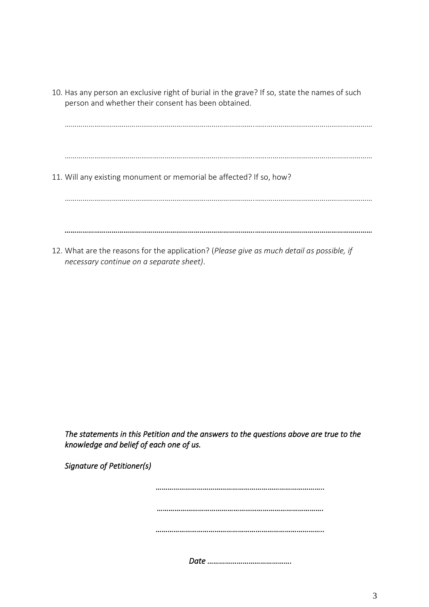10. Has any person an exclusive right of burial in the grave? If so, state the names of such person and whether their consent has been obtained.

…………………………………………………………………………………….……………………………………………………

- …………………………………………………………………………………….……………………………………………………
- 11. Will any existing monument or memorial be affected? If so, how?

…………………………………………………………………………………….……………………………………………………

*…………………………………………………………………………………….……………………………………………………*

12. What are the reasons for the application? (*Please give as much detail as possible, if necessary continue on a separate sheet)*.

*The statements in this Petition and the answers to the questions above are true to the knowledge and belief of each one of us.* 

*Signature of Petitioner(s)* 

*………………………………………………………………………….. …………………………………………………………………………. …………………………………………………………………………..* 

*Date …………………………………….*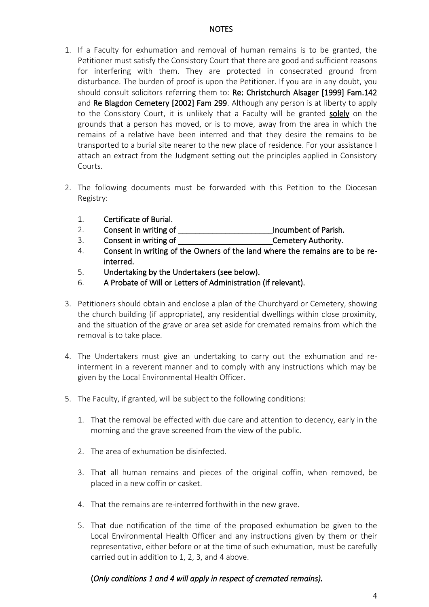#### NOTES

- 1. If a Faculty for exhumation and removal of human remains is to be granted, the Petitioner must satisfy the Consistory Court that there are good and sufficient reasons for interfering with them. They are protected in consecrated ground from disturbance. The burden of proof is upon the Petitioner. If you are in any doubt, you should consult solicitors referring them to: Re: Christchurch Alsager [1999] Fam.142 and Re Blagdon Cemetery [2002] Fam 299. Although any person is at liberty to apply to the Consistory Court, it is unlikely that a Faculty will be granted solely on the grounds that a person has moved, or is to move, away from the area in which the remains of a relative have been interred and that they desire the remains to be transported to a burial site nearer to the new place of residence. For your assistance I attach an extract from the Judgment setting out the principles applied in Consistory Courts.
- 2. The following documents must be forwarded with this Petition to the Diocesan Registry:
	- 1. Certificate of Burial.
	- 2. Consent in writing of the consentinuity of the local parish.
	- 3. Consent in writing of **Conset and Conset Cemetery Authority.**
	- 4. Consent in writing of the Owners of the land where the remains are to be reinterred.
	- 5. Undertaking by the Undertakers (see below).
	- 6. A Probate of Will or Letters of Administration (if relevant).
- 3. Petitioners should obtain and enclose a plan of the Churchyard or Cemetery, showing the church building (if appropriate), any residential dwellings within close proximity, and the situation of the grave or area set aside for cremated remains from which the removal is to take place.
- 4. The Undertakers must give an undertaking to carry out the exhumation and reinterment in a reverent manner and to comply with any instructions which may be given by the Local Environmental Health Officer.
- 5. The Faculty, if granted, will be subject to the following conditions:
	- 1. That the removal be effected with due care and attention to decency, early in the morning and the grave screened from the view of the public.
	- 2. The area of exhumation be disinfected.
	- 3. That all human remains and pieces of the original coffin, when removed, be placed in a new coffin or casket.
	- 4. That the remains are re-interred forthwith in the new grave.
	- 5. That due notification of the time of the proposed exhumation be given to the Local Environmental Health Officerand any instructions given by them or their representative, either before or at the time of such exhumation, must be carefully carried out in addition to 1, 2, 3, and 4 above.

# (*Only conditions 1 and 4 will apply in respect of cremated remains).*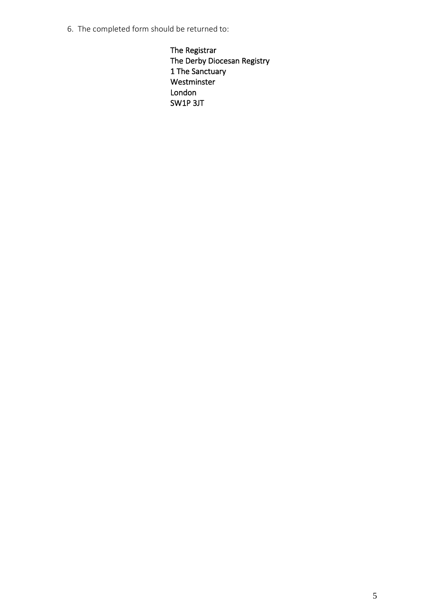6. The completed form should be returned to:

The Registrar The Derby Diocesan Registry 1 The Sanctuary Westminster London SW1P 3JT